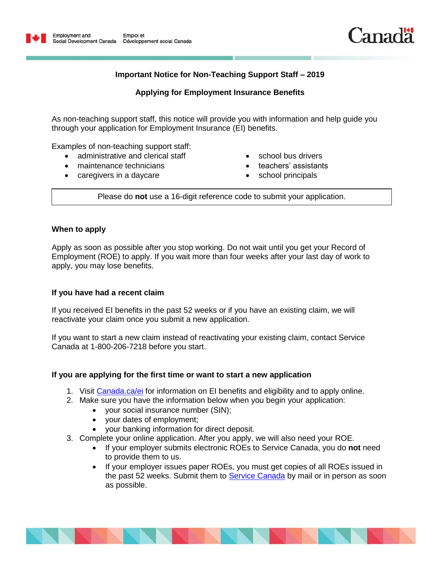

# **Important Notice for Non-Teaching Support Staff – 2019**

# **Applying for Employment Insurance Benefits**

As non-teaching support staff, this notice will provide you with information and help guide you through your application for Employment Insurance (EI) benefits.

Examples of non-teaching support staff:

- administrative and clerical staff
- maintenance technicians
- caregivers in a daycare
- school bus drivers
- teachers' assistants
- school principals

Please do **not** use a 16-digit reference code to submit your application.

### **When to apply**

Apply as soon as possible after you stop working. Do not wait until you get your Record of Employment (ROE) to apply. If you wait more than four weeks after your last day of work to apply, you may lose benefits.

### **If you have had a recent claim**

If you received EI benefits in the past 52 weeks or if you have an existing claim, we will reactivate your claim once you submit a new application.

If you want to start a new claim instead of reactivating your existing claim, contact Service Canada at 1-800-206-7218 before you start.

#### **If you are applying for the first time or want to start a new application**

- 1. Visit [Canada.ca/ei](https://www.canada.ca/en/services/benefits/ei.html) for information on EI benefits and eligibility and to apply online.
- 2. Make sure you have the information below when you begin your application:
	- your social insurance number (SIN);
	- your dates of employment;
	- your banking information for direct deposit.
- 3. Complete your online application. After you apply, we will also need your ROE.
	- If your employer submits electronic ROEs to Service Canada, you do **not** need to provide them to us.
	- If your employer issues paper ROEs, you must get copies of all ROEs issued in the past 52 weeks. Submit them to [Service Canada](https://www.canada.ca/en/employment-social-development/corporate/contact/ei-individual.html) by mail or in person as soon as possible.